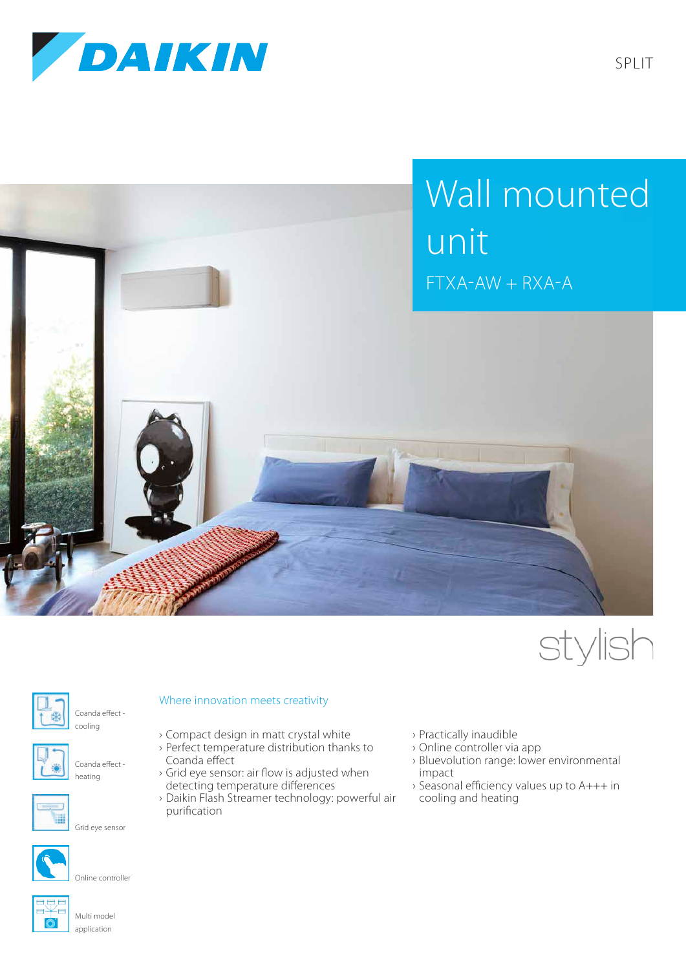







Coanda effect -



Coanda effect heating

cooling



Grid eye sensor



Online controller



Multi model application

## Where innovation meets creativity

- › Compact design in matt crystal white
- › Perfect temperature distribution thanks to Coanda effect
- › Grid eye sensor: air flow is adjusted when detecting temperature differences
- › Daikin Flash Streamer technology: powerful air purification
- › Practically inaudible
- › Online controller via app
- › Bluevolution range: lower environmental impact
- › Seasonal efficiency values up to A+++ in cooling and heating